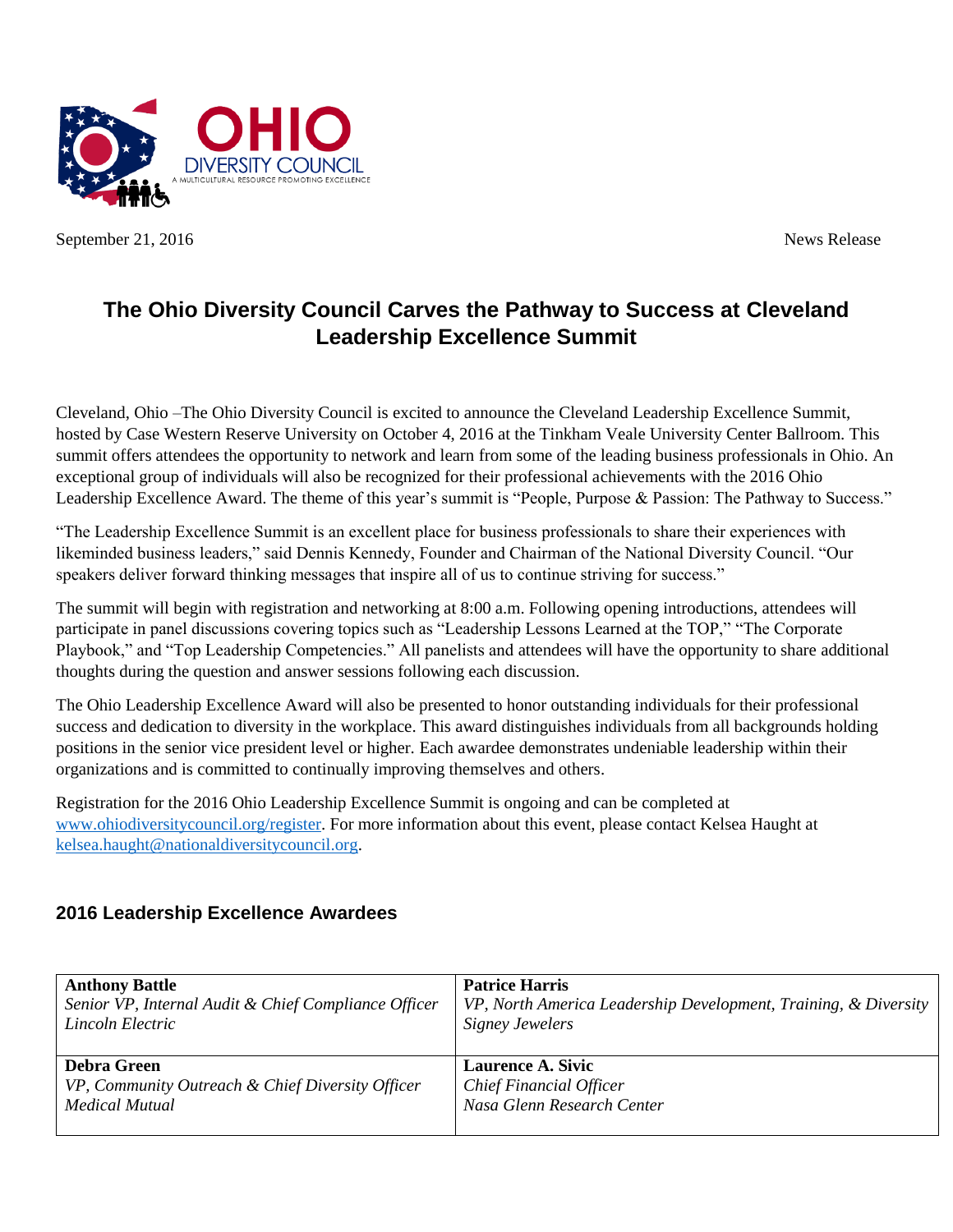

September 21, 2016 News Release

## **The Ohio Diversity Council Carves the Pathway to Success at Cleveland Leadership Excellence Summit**

Cleveland, Ohio –The Ohio Diversity Council is excited to announce the Cleveland Leadership Excellence Summit, hosted by Case Western Reserve University on October 4, 2016 at the Tinkham Veale University Center Ballroom. This summit offers attendees the opportunity to network and learn from some of the leading business professionals in Ohio. An exceptional group of individuals will also be recognized for their professional achievements with the 2016 Ohio Leadership Excellence Award. The theme of this year's summit is "People, Purpose & Passion: The Pathway to Success."

"The Leadership Excellence Summit is an excellent place for business professionals to share their experiences with likeminded business leaders," said Dennis Kennedy, Founder and Chairman of the National Diversity Council. "Our speakers deliver forward thinking messages that inspire all of us to continue striving for success."

The summit will begin with registration and networking at 8:00 a.m. Following opening introductions, attendees will participate in panel discussions covering topics such as "Leadership Lessons Learned at the TOP," "The Corporate Playbook," and "Top Leadership Competencies." All panelists and attendees will have the opportunity to share additional thoughts during the question and answer sessions following each discussion.

The Ohio Leadership Excellence Award will also be presented to honor outstanding individuals for their professional success and dedication to diversity in the workplace. This award distinguishes individuals from all backgrounds holding positions in the senior vice president level or higher. Each awardee demonstrates undeniable leadership within their organizations and is committed to continually improving themselves and others.

Registration for the 2016 Ohio Leadership Excellence Summit is ongoing and can be completed at [www.ohiodiversitycouncil.org/register.](http://www.ohiodiversitycouncil.org/what-we-do/programs-events/leadership-excellence-summit/2016-leadership-excellence-summit/) For more information about this event, please contact Kelsea Haught at [kelsea.haught@nationaldiversitycouncil.org.](mailto:kelsea.haught@nationaldiversitycouncil.org)

## **2016 Leadership Excellence Awardees**

| <b>Anthony Battle</b>                                | <b>Patrice Harris</b>                                           |
|------------------------------------------------------|-----------------------------------------------------------------|
| Senior VP, Internal Audit & Chief Compliance Officer | VP, North America Leadership Development, Training, & Diversity |
| Lincoln Electric                                     | <b>Signey Jewelers</b>                                          |
| <b>Debra Green</b>                                   | <b>Laurence A. Sivic</b>                                        |
| VP, Community Outreach & Chief Diversity Officer     | <b>Chief Financial Officer</b>                                  |
| Medical Mutual                                       | Nasa Glenn Research Center                                      |